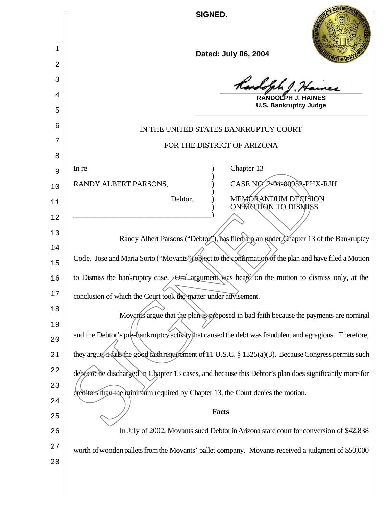|        | SIGNED.                                                                                                  |
|--------|----------------------------------------------------------------------------------------------------------|
| 1      | Dated: July 06, 2004                                                                                     |
| 2      |                                                                                                          |
| 3      | Randolph J. Hainer                                                                                       |
| 4      | <b>RANDOLPH J. HAINES</b>                                                                                |
| 5      | <b>U.S. Bankruptcy Judge</b>                                                                             |
| 6      | IN THE UNITED STATES BANKRUPTCY COURT                                                                    |
| 7      | FOR THE DISTRICT OF ARIZONA                                                                              |
| 8      |                                                                                                          |
| 9      | Chapter 13<br>In re                                                                                      |
| 10     | CASE NO. 2-04-00952-PHX-RJH<br>RANDY ALBERT PARSONS,                                                     |
| 11     | MEMORANDUM DECISION<br>Debtor.<br>ON MOTION TO DISMISS                                                   |
| 12     |                                                                                                          |
| 13     | Randy Albert Parsons ("Debtor"), has filed a plan under Chapter 13 of the Bankruptcy                     |
| 14     |                                                                                                          |
| 15     | Code. Jose and Maria Sorto ("Movants"/object to the confirmation of the plan and have filed a Motion     |
| 16     | to Dismiss the bankruptcy case. Oral argument was heard on the motion to dismiss only, at the            |
| 17     | conclusion of which the Court took the matter under advisement.                                          |
| 18     | Movants argue that the plan is proposed in bad faith because the payments are nominal                    |
| 19     |                                                                                                          |
| 20     | and the Debtor's pre-bankruptcy activity that caused the debt was fraudulent and egregious. Therefore,   |
| 21     | they argue, it fails the good faith requirement of 11 U.S.C. § 1325(a)(3). Because Congress permits such |
| 22     | debis to be discharged in Chapter 13 cases, and because this Debtor's plan does significantly more for   |
| 23     | creditors than the minimum required by Chapter 13, the Court denies the motion.                          |
| 24     |                                                                                                          |
| 25     | <b>Facts</b>                                                                                             |
| 26     | In July of 2002, Movants sued Debtor in Arizona state court for conversion of \$42,838                   |
| $2\,7$ | worth of wooden pallets from the Movants' pallet company. Movants received a judgment of \$50,000        |
| 28     |                                                                                                          |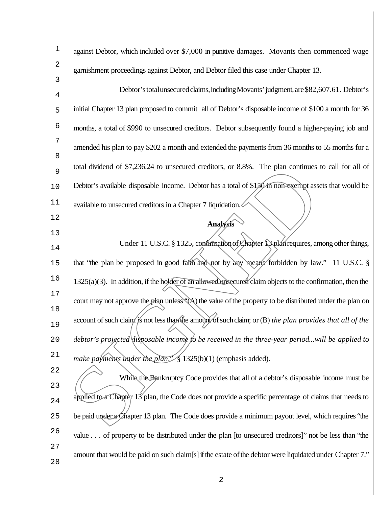| $\mathbf 1$ | against Debtor, which included over \$7,000 in punitive damages. Movants then commenced wage                  |
|-------------|---------------------------------------------------------------------------------------------------------------|
| 2<br>3      | garnishment proceedings against Debtor, and Debtor filed this case under Chapter 13.                          |
| 4           | Debtor's total unsecured claims, including Movants' judgment, are \$82,607.61. Debtor's                       |
| 5           | initial Chapter 13 plan proposed to commit all of Debtor's disposable income of \$100 a month for 36          |
| 6           | months, a total of \$990 to unsecured creditors. Debtor subsequently found a higher-paying job and            |
| 7           | amended his plan to pay \$202 a month and extended the payments from 36 months to 55 months for a             |
| 8<br>9      | total dividend of \$7,236.24 to unsecured creditors, or 8.8%. The plan continues to call for all of           |
| 10          | Debtor's available disposable income. Debtor has a total of \$150 in non-exempt assets that would be          |
| 11          | available to unsecured creditors in a Chapter 7 liquidation.                                                  |
| 12          | <b>Analysis</b>                                                                                               |
| 13<br>14    | Under 11 U.S.C. § 1325, confirmation of Chapter 18 plan requires, among other things,                         |
| 15          | that "the plan be proposed in good faith and not by any means forbidden by law." 11 U.S.C. §                  |
| 16          | $1325(a)(3)$ . In addition, if the holder of an allowed unsecured claim objects to the confirmation, then the |
| $17$        | court may not approve the plan unless (A) the value of the property to be distributed under the plan on       |
| 18<br>19    | account of such claim is not less than the amount of such claim; or (B) the plan provides that all of the     |
| 20          | debtor's projected disposable income to be received in the three-year periodwill be applied to                |
| 21          | make payments under the plan." § 1325(b)(1) (emphasis added).                                                 |
| 22          | While the Bankruptcy Code provides that all of a debtor's disposable income must be                           |
| 23<br>24    | applied to a Chapter $13$ plan, the Code does not provide a specific percentage of claims that needs to       |
| 25          | be paid under a Chapter 13 plan. The Code does provide a minimum payout level, which requires "the            |
| 26          | value of property to be distributed under the plan [to unsecured creditors]" not be less than "the            |
| 27<br>28    | amount that would be paid on such claim[s] if the estate of the debtor were liquidated under Chapter 7."      |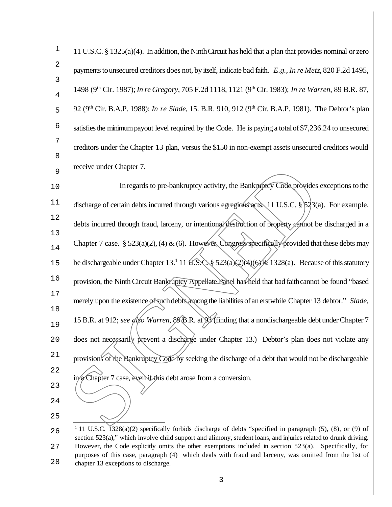| 1        | 11 U.S.C. § 1325(a)(4). In addition, the Ninth Circuit has held that a plan that provides nominal or zero                                                                                                                                 |
|----------|-------------------------------------------------------------------------------------------------------------------------------------------------------------------------------------------------------------------------------------------|
| 2        | payments to unsecured creditors does not, by itself, indicate bad faith. E.g., In re Metz, 820 F.2d 1495,                                                                                                                                 |
| 3<br>4   | 1498 (9 <sup>th</sup> Cir. 1987); <i>In re Gregory</i> , 705 F.2d 1118, 1121 (9 <sup>th</sup> Cir. 1983); <i>In re Warren</i> , 89 B.R. 87,                                                                                               |
| 5        | 92 (9 <sup>th</sup> Cir. B.A.P. 1988); <i>In re Slade</i> , 15. B.R. 910, 912 (9 <sup>th</sup> Cir. B.A.P. 1981). The Debtor's plan                                                                                                       |
| 6        | satisfies the minimum payout level required by the Code. He is paying a total of \$7,236.24 to unsecured                                                                                                                                  |
| 7        | creditors under the Chapter 13 plan, versus the \$150 in non-exempt assets unsecured creditors would                                                                                                                                      |
| 8<br>9   | receive under Chapter 7.                                                                                                                                                                                                                  |
| 10       | In regards to pre-bankruptcy activity, the Bankruptcy Code provides exceptions to the                                                                                                                                                     |
| 11       | discharge of certain debts incurred through various egregious acts. 11 U.S.C. $\frac{1}{2}3(a)$ . For example,                                                                                                                            |
| 12       | debts incurred through fraud, larceny, or intentional/destruction of property cannot be discharged in a                                                                                                                                   |
| 13<br>14 | Chapter 7 case. § 523(a)(2), (4) & (6). However, Congress specifically provided that these debts may                                                                                                                                      |
| 15       | be dischargeable under Chapter 13. <sup>1</sup> 11 <i>U.S.C.</i> § 523(a)(2)(4)(6) $\frac{1}{26}$ 1328(a). Because of this statutory                                                                                                      |
| 16       | provision, the Ninth Circuit Bankruptcy Appellate Panel has held that bad faith cannot be found "based                                                                                                                                    |
| 17       | merely upon the existence of such debts among the liabilities of an erstwhile Chapter 13 debtor." Slade,                                                                                                                                  |
| 18<br>19 | 15 B.R. at 912; see also Warren, 89 B.R. at 93 (finding that a nondischargeable debt under Chapter 7                                                                                                                                      |
| 20       | does not necessarily prevent a discharge under Chapter 13.) Debtor's plan does not violate any                                                                                                                                            |
| 21       | provisions of the Bankruptcy Code by seeking the discharge of a debt that would not be dischargeable                                                                                                                                      |
| 22       | in a Chapter 7 case, even if this debt arose from a conversion.                                                                                                                                                                           |
| 23       |                                                                                                                                                                                                                                           |
| 24<br>25 |                                                                                                                                                                                                                                           |
| 26       | <sup>1</sup> 11 U.S.C. $\sqrt{328(a)}$ specifically forbids discharge of debts "specified in paragraph (5), (8), or (9) of<br>section 523(a)" which involve child support and alimony student loans and injuries related to drunk driving |

 section 523(a)," which involve child support and alimony, student loans, and injuries related to drunk driving. However, the Code explicitly omits the other exemptions included in section 523(a). Specifically, for purposes of this case, paragraph (4) which deals with fraud and larceny, was omitted from the list of chapter 13 exceptions to discharge.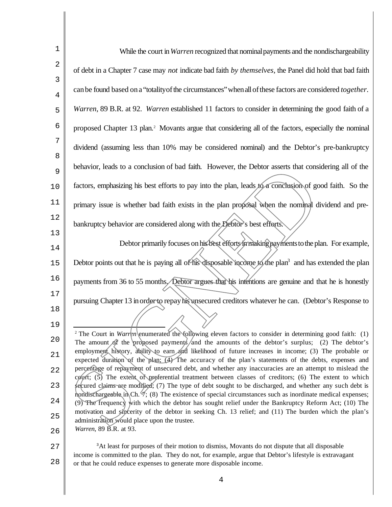| 1        | While the court in Warren recognized that nominal payments and the nondischargeability                                                                                                                                             |
|----------|------------------------------------------------------------------------------------------------------------------------------------------------------------------------------------------------------------------------------------|
| 2        | of debt in a Chapter 7 case may not indicate bad faith by themselves, the Panel did hold that bad faith                                                                                                                            |
| 3<br>4   | can be found based on a "totality of the circumstances" when all of these factors are considered together.                                                                                                                         |
| 5        | Warren, 89 B.R. at 92. Warren established 11 factors to consider in determining the good faith of a                                                                                                                                |
| 6        | proposed Chapter 13 plan. <sup>2</sup> Movants argue that considering all of the factors, especially the nominal                                                                                                                   |
| 7        | dividend (assuming less than 10% may be considered nominal) and the Debtor's pre-bankruptcy                                                                                                                                        |
| 8<br>9   | behavior, leads to a conclusion of bad faith. However, the Debtor asserts that considering all of the                                                                                                                              |
| 10       | factors, emphasizing his best efforts to pay into the plan, leads to a conclusion of good faith. So the                                                                                                                            |
| 11       | primary issue is whether bad faith exists in the plan proposal when the nominal dividend and pre-                                                                                                                                  |
| 12       | bankruptcy behavior are considered along with the Debtor's best efforts.                                                                                                                                                           |
| 13<br>14 | Debtor primarily focuses on his best efforts in making payments to the plan. For example,                                                                                                                                          |
| 15       | Debtor points out that he is paying all of his disposable income to the plan <sup>3</sup> and has extended the plan                                                                                                                |
| 16       | payments from 36 to 55 months/Debtor argues that his intentions are genuine and that he is honestly                                                                                                                                |
| 17<br>18 | pursuing Chapter 13 in order to repay his unsecured creditors whatever he can. (Debtor's Response to                                                                                                                               |
| 19       |                                                                                                                                                                                                                                    |
| 20       | <sup>2</sup> The Court in Warren enumerated the following eleven factors to consider in determining good faith: (1)<br>The amount of the proposed payments/and the amounts of the debtor's surplus; (2) The debtor's               |
| 21       | employment history, ability to earn and likelihood of future increases in income; (3) The probable or<br>expected duration of the plan: (4) The accuracy of the plan's statements of the debts, expenses and                       |
| 22       | percentage of repayment of unsecured debt, and whether any inaccuracies are an attempt to mislead the<br>court; (5) The extent of preferential treatment between classes of creditors; (6) The extent to which                     |
| 23       | secured claims are modified; (7) The type of debt sought to be discharged, and whether any such debt is<br>hondischargeable in Ch. $\mathcal{A}$ ; (8) The existence of special circumstances such as inordinate medical expenses; |
| 24       | (9) The frequency with which the debtor has sought relief under the Bankruptcy Reform Act; (10) The<br>motivation and sincerity of the debtor in seeking Ch. 13 relief; and (11) The burden which the plan's                       |
| 25       | administration would place upon the trustee.                                                                                                                                                                                       |
| 26       | Warren, 89 B.R. at 93.                                                                                                                                                                                                             |

27 28 <sup>3</sup>At least for purposes of their motion to dismiss, Movants do not dispute that all disposable income is committed to the plan. They do not, for example, argue that Debtor's lifestyle is extravagant or that he could reduce expenses to generate more disposable income.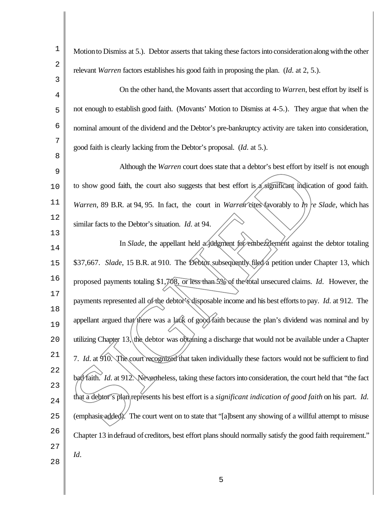| 1                   | Motion to Dismiss at 5.). Debtor asserts that taking these factors into consideration along with the other        |
|---------------------|-------------------------------------------------------------------------------------------------------------------|
| 2                   | relevant <i>Warren</i> factors establishes his good faith in proposing the plan. ( <i>Id.</i> at 2, 5.).          |
| 3<br>$\overline{4}$ | On the other hand, the Movants assert that according to Warren, best effort by itself is                          |
| 5                   | not enough to establish good faith. (Movants' Motion to Dismiss at 4-5.). They argue that when the                |
| 6                   | nominal amount of the dividend and the Debtor's pre-bankruptcy activity are taken into consideration,             |
| 7<br>8              | good faith is clearly lacking from the Debtor's proposal. ( <i>Id.</i> at 5.).                                    |
| 9                   | Although the Warren court does state that a debtor's best effort by itself is not enough                          |
| 10                  | to show good faith, the court also suggests that best effort is a significant indication of good faith.           |
| 11                  | Warren, 89 B.R. at 94, 95. In fact, the court in Warren cites (avorably to $n $ re Slade, which has               |
| 12                  | similar facts to the Debtor's situation. <i>Id.</i> at 94.                                                        |
| 13<br>14            | In Slade, the appellant held a judgment for embezzlement against the debtor totaling                              |
| 15                  | \$37,667. Slade, 15 B.R. at 910. The Debtor subsequently filed a petition under Chapter 13, which                 |
| 16                  | proposed payments totaling \$1,708, or less than 5% of the total unsecured claims. Id. However, the               |
| 17                  | payments represented all of the debtor's disposable income and his best efforts to pay. Id. at 912. The           |
| 18<br>19            | appellant argued that there was a lack of good faith because the plan's dividend was nominal and by               |
| 20                  | utilizing Chapter $13$ , the debtor was obtaining a discharge that would not be available under a Chapter         |
| 21                  | 7. Id. at 910. The court recognized that taken individually these factors would not be sufficient to find         |
| 22                  | bad faith. Id. at 912. Nevertheless, taking these factors into consideration, the court held that "the fact"      |
| 23                  |                                                                                                                   |
| 24                  | that a debtor's plan represents his best effort is a <i>significant indication of good faith</i> on his part. Id. |
| 25                  | (emphasis added). The court went on to state that "[a]bsent any showing of a willful attempt to misuse            |
| 26                  | Chapter 13 in defraud of creditors, best effort plans should normally satisfy the good faith requirement."        |
| 27                  | Id.                                                                                                               |
| 28                  |                                                                                                                   |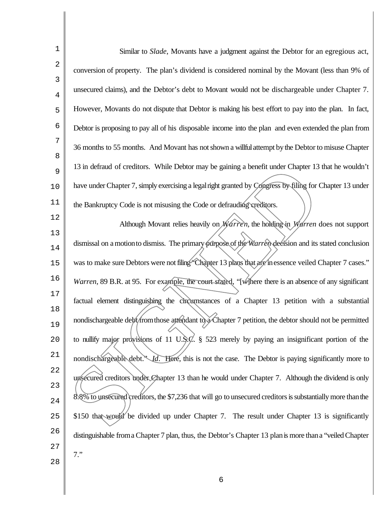| $\mathbf 1$  | Similar to <i>Slade</i> , Movants have a judgment against the Debtor for an egregious act,                  |
|--------------|-------------------------------------------------------------------------------------------------------------|
| $\mathbf{2}$ | conversion of property. The plan's dividend is considered nominal by the Movant (less than 9% of            |
| 3<br>4       | unsecured claims), and the Debtor's debt to Movant would not be dischargeable under Chapter 7.              |
| 5            | However, Movants do not dispute that Debtor is making his best effort to pay into the plan. In fact,        |
| 6            | Debtor is proposing to pay all of his disposable income into the plan and even extended the plan from       |
| 7            | 36 months to 55 months. And Movant has not shown a willful attempt by the Debtor to misuse Chapter          |
| 8<br>9       | 13 in defraud of creditors. While Debtor may be gaining a benefit under Chapter 13 that he wouldn't         |
| 10           | have under Chapter 7, simply exercising a legal right granted by Congress by filing for Chapter 13 under    |
| 11           | the Bankruptcy Code is not misusing the Code or defrauding creditors.                                       |
| 12           | Although Movant relies heavily on Warren, the holding in Warren does not support                            |
| 13<br>14     | dismissal on a motion to dismiss. The primary purpose of the Warren decision and its stated conclusion      |
| $15$         | was to make sure Debtors were not filing "Chapter 13 plans that are in essence veiled Chapter 7 cases."     |
| 16           | Warren, 89 B.R. at 95. For example, the court stated, "[w] here there is an absence of any significant      |
| $17$         | factual element distinguishing the circumstances of a Chapter 13 petition with a substantial                |
| 18<br>19     | nondischargeable debt/from those attendant to a Chapter 7 petition, the debtor should not be permitted      |
| 20           | to nullify major provisions of 11 U.S.C. § 523 merely by paying an insignificant portion of the             |
| 21           | nondischargeable debt." Id. Here, this is not the case. The Debtor is paying significantly more to          |
| 22           | unsecured creditors under Chapter 13 than he would under Chapter 7. Although the dividend is only           |
| 23<br>24     | 8.8% to unsecured creditors, the \$7,236 that will go to unsecured creditors is substantially more than the |
| 25           | \$150 that would be divided up under Chapter 7. The result under Chapter 13 is significantly                |
| 26           | distinguishable from a Chapter 7 plan, thus, the Debtor's Chapter 13 plan is more than a "veiled Chapter    |
| 27           | $7.$ "                                                                                                      |
| 28           |                                                                                                             |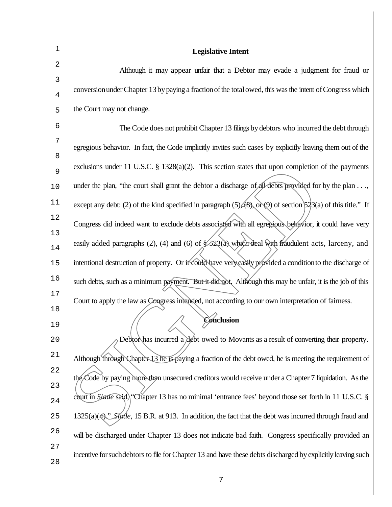| Although it may appear unfair that a Debtor may evade a judgment for fraud or                                       |
|---------------------------------------------------------------------------------------------------------------------|
| conversion under Chapter 13 by paying a fraction of the total owed, this was the intent of Congress which           |
|                                                                                                                     |
| The Code does not prohibit Chapter 13 filings by debtors who incurred the debt through                              |
|                                                                                                                     |
| egregious behavior. In fact, the Code implicitly invites such cases by explicitly leaving them out of the           |
| exclusions under 11 U.S.C. $\S$ 1328(a)(2). This section states that upon completion of the payments                |
| under the plan, "the court shall grant the debtor a discharge of all debts provided for by the plan,                |
| except any debt: (2) of the kind specified in paragraph $(5)/(8)$ , or (9) of section $5/23$ (a) of this title." If |
| Congress did indeed want to exclude debts associated with all egregious behavior, it could have very                |
|                                                                                                                     |
| easily added paragraphs (2), (4) and (6) of \$523(a) which deal with fraudulent acts, larceny, and                  |
| intentional destruction of property. Or it could have very easily provided a condition to the discharge of          |
| such debts, such as a minimum payment. But it did not. Although this may be unfair, it is the job of this           |
| Court to apply the law as Congress intended, not according to our own interpretation of fairness.                   |
|                                                                                                                     |
|                                                                                                                     |
| Debtor has incurred a debt owed to Movants as a result of converting their property.                                |
| Although through Chapter 13 he is paying a fraction of the debt owed, he is meeting the requirement of              |
| the Code by paying more than unsecured creditors would receive under a Chapter 7 liquidation. As the                |
| court in <i>Slade</i> said, "Chapter 13 has no minimal 'entrance fees' beyond those set forth in 11 U.S.C. §        |
| 1325(a)(4). <i>Stade</i> , 15 B.R. at 913. In addition, the fact that the debt was incurred through fraud and       |
|                                                                                                                     |
| will be discharged under Chapter 13 does not indicate bad faith. Congress specifically provided an                  |
|                                                                                                                     |
|                                                                                                                     |